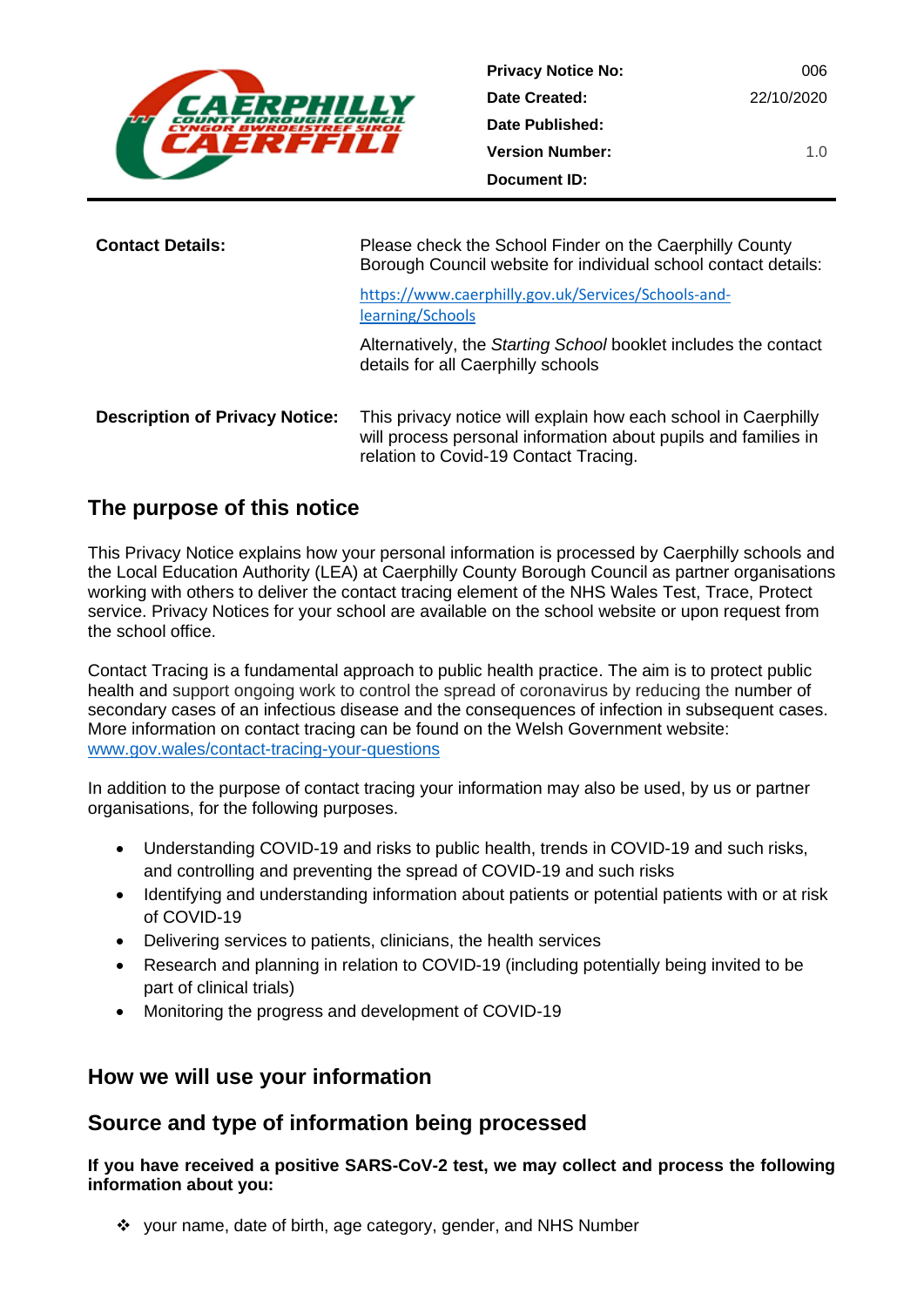

| <b>Privacy Notice No:</b> | 006        |
|---------------------------|------------|
| Date Created:             | 22/10/2020 |
| Date Published:           |            |
| <b>Version Number:</b>    | 1.0        |
| Document ID:              |            |

| <b>Contact Details:</b> | Please check the School Finder on the Caerphilly County<br>Borough Council website for individual school contact details: |
|-------------------------|---------------------------------------------------------------------------------------------------------------------------|
|                         | https://www.caerphilly.gov.uk/Services/Schools-and-<br>learning/Schools                                                   |
|                         | Alternatively, the Starting School booklet includes the contact<br>details for all Caerphilly schools                     |

**Description of Privacy Notice:** This privacy notice will explain how each school in Caerphilly will process personal information about pupils and families in relation to Covid-19 Contact Tracing.

# **The purpose of this notice**

This Privacy Notice explains how your personal information is processed by Caerphilly schools and the Local Education Authority (LEA) at Caerphilly County Borough Council as partner organisations working with others to deliver the contact tracing element of the NHS Wales Test, Trace, Protect service. Privacy Notices for your school are available on the school website or upon request from the school office.

Contact Tracing is a fundamental approach to public health practice. The aim is to protect public health and support ongoing work to control the spread of coronavirus by reducing the number of secondary cases of an infectious disease and the consequences of infection in subsequent cases. More information on contact tracing can be found on the Welsh Government website: [www.gov.wales/contact-tracing-your-questions](http://www.gov.wales/contact-tracing-your-questions)

In addition to the purpose of contact tracing your information may also be used, by us or partner organisations, for the following purposes.

- Understanding COVID-19 and risks to public health, trends in COVID-19 and such risks, and controlling and preventing the spread of COVID-19 and such risks
- Identifying and understanding information about patients or potential patients with or at risk of COVID-19
- Delivering services to patients, clinicians, the health services
- Research and planning in relation to COVID-19 (including potentially being invited to be part of clinical trials)
- Monitoring the progress and development of COVID-19

## **How we will use your information**

## **Source and type of information being processed**

**If you have received a positive SARS-CoV-2 test, we may collect and process the following information about you:**

❖ your name, date of birth, age category, gender, and NHS Number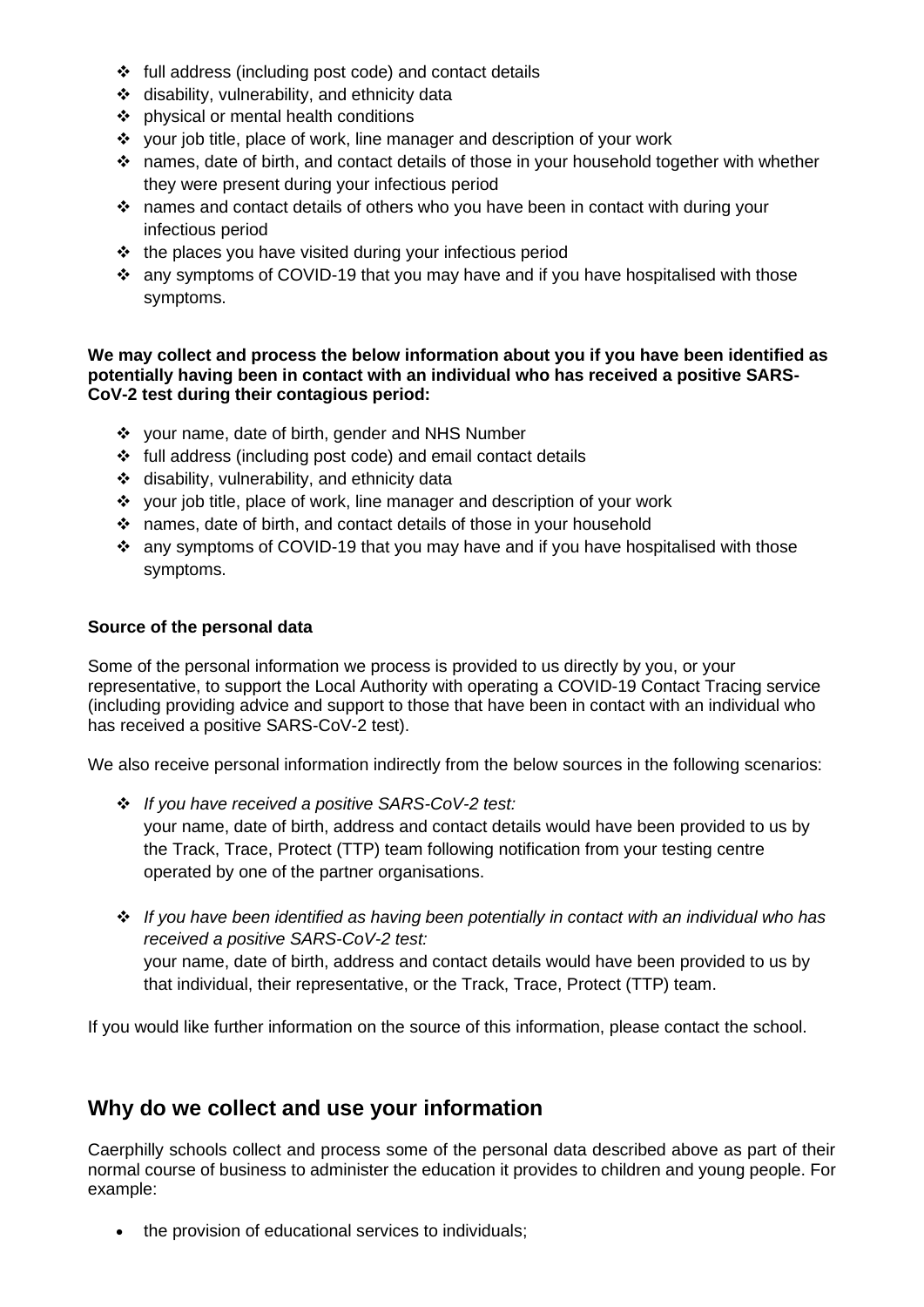- ❖ full address (including post code) and contact details
- ❖ disability, vulnerability, and ethnicity data
- ❖ physical or mental health conditions
- ❖ your job title, place of work, line manager and description of your work
- ❖ names, date of birth, and contact details of those in your household together with whether they were present during your infectious period
- ❖ names and contact details of others who you have been in contact with during your infectious period
- ❖ the places you have visited during your infectious period
- ❖ any symptoms of COVID-19 that you may have and if you have hospitalised with those symptoms.

#### **We may collect and process the below information about you if you have been identified as potentially having been in contact with an individual who has received a positive SARS-CoV-2 test during their contagious period:**

- ❖ your name, date of birth, gender and NHS Number
- ❖ full address (including post code) and email contact details
- ❖ disability, vulnerability, and ethnicity data
- ❖ your job title, place of work, line manager and description of your work
- ❖ names, date of birth, and contact details of those in your household
- ❖ any symptoms of COVID-19 that you may have and if you have hospitalised with those symptoms.

### **Source of the personal data**

Some of the personal information we process is provided to us directly by you, or your representative, to support the Local Authority with operating a COVID-19 Contact Tracing service (including providing advice and support to those that have been in contact with an individual who has received a positive SARS-CoV-2 test).

We also receive personal information indirectly from the below sources in the following scenarios:

- ❖ *If you have received a positive SARS-CoV-2 test:* your name, date of birth, address and contact details would have been provided to us by the Track, Trace, Protect (TTP) team following notification from your testing centre operated by one of the partner organisations.
- ❖ *If you have been identified as having been potentially in contact with an individual who has received a positive SARS-CoV-2 test:* your name, date of birth, address and contact details would have been provided to us by that individual, their representative, or the Track, Trace, Protect (TTP) team.

If you would like further information on the source of this information, please contact the school.

## **Why do we collect and use your information**

Caerphilly schools collect and process some of the personal data described above as part of their normal course of business to administer the education it provides to children and young people. For example:

• the provision of educational services to individuals;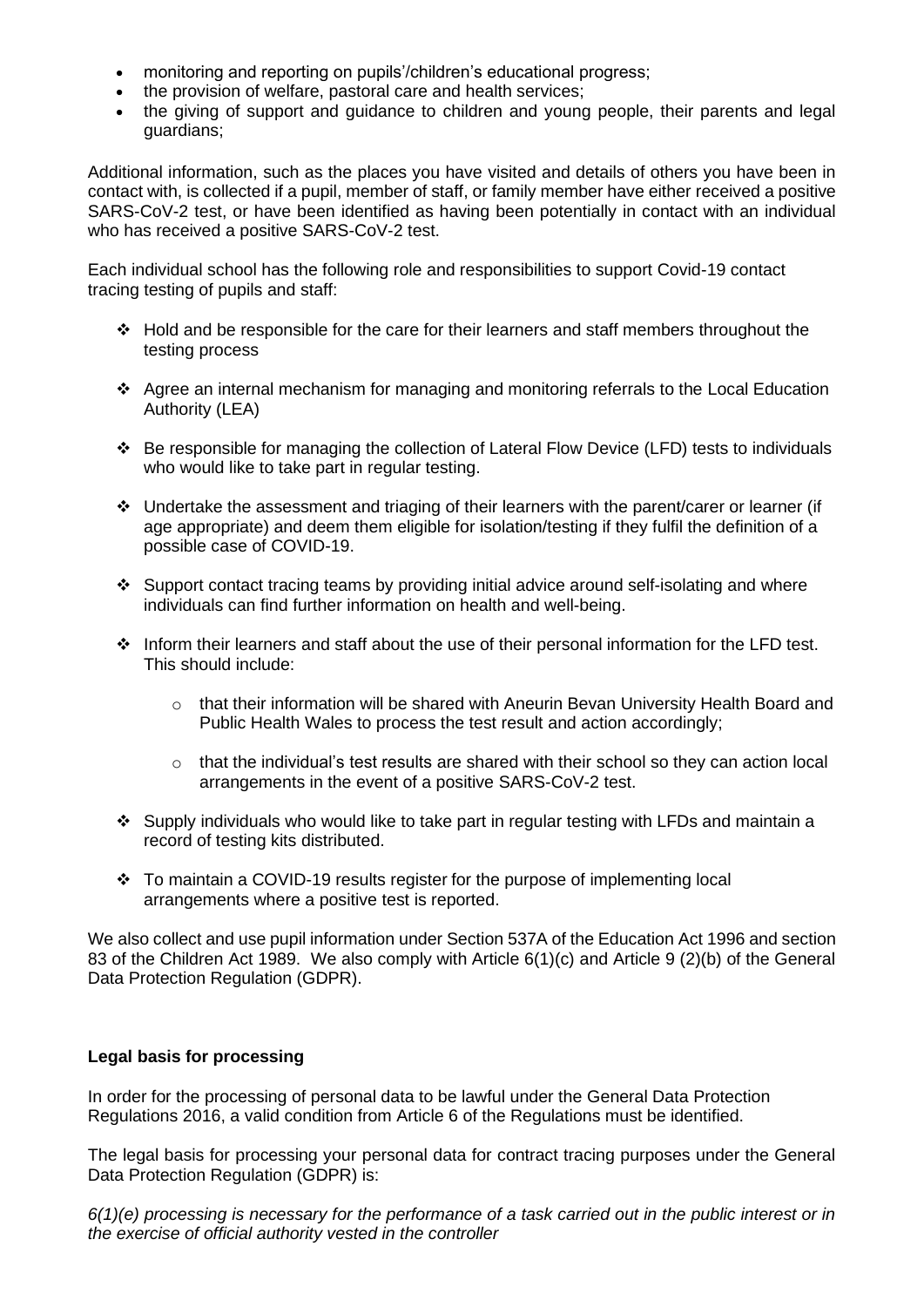- monitoring and reporting on pupils'/children's educational progress;
- the provision of welfare, pastoral care and health services;
- the giving of support and guidance to children and young people, their parents and legal guardians;

Additional information, such as the places you have visited and details of others you have been in contact with, is collected if a pupil, member of staff, or family member have either received a positive SARS-CoV-2 test, or have been identified as having been potentially in contact with an individual who has received a positive SARS-CoV-2 test.

Each individual school has the following role and responsibilities to support Covid-19 contact tracing testing of pupils and staff:

- ❖ Hold and be responsible for the care for their learners and staff members throughout the testing process
- ❖ Agree an internal mechanism for managing and monitoring referrals to the Local Education Authority (LEA)
- ❖ Be responsible for managing the collection of Lateral Flow Device (LFD) tests to individuals who would like to take part in regular testing.
- ❖ Undertake the assessment and triaging of their learners with the parent/carer or learner (if age appropriate) and deem them eligible for isolation/testing if they fulfil the definition of a possible case of COVID-19.
- ❖ Support contact tracing teams by providing initial advice around self-isolating and where individuals can find further information on health and well-being.
- ❖ Inform their learners and staff about the use of their personal information for the LFD test. This should include:
	- o that their information will be shared with Aneurin Bevan University Health Board and Public Health Wales to process the test result and action accordingly;
	- $\circ$  that the individual's test results are shared with their school so they can action local arrangements in the event of a positive SARS-CoV-2 test.
- ❖ Supply individuals who would like to take part in regular testing with LFDs and maintain a record of testing kits distributed.
- ❖ To maintain a COVID-19 results register for the purpose of implementing local arrangements where a positive test is reported.

We also collect and use pupil information under Section 537A of the Education Act 1996 and section 83 of the Children Act 1989. We also comply with Article 6(1)(c) and Article 9 (2)(b) of the General Data Protection Regulation (GDPR).

### **Legal basis for processing**

In order for the processing of personal data to be lawful under the General Data Protection Regulations 2016, a valid condition from Article 6 of the Regulations must be identified.

The legal basis for processing your personal data for contract tracing purposes under the General Data Protection Regulation (GDPR) is:

*6(1)(e) processing is necessary for the performance of a task carried out in the public interest or in the exercise of official authority vested in the controller*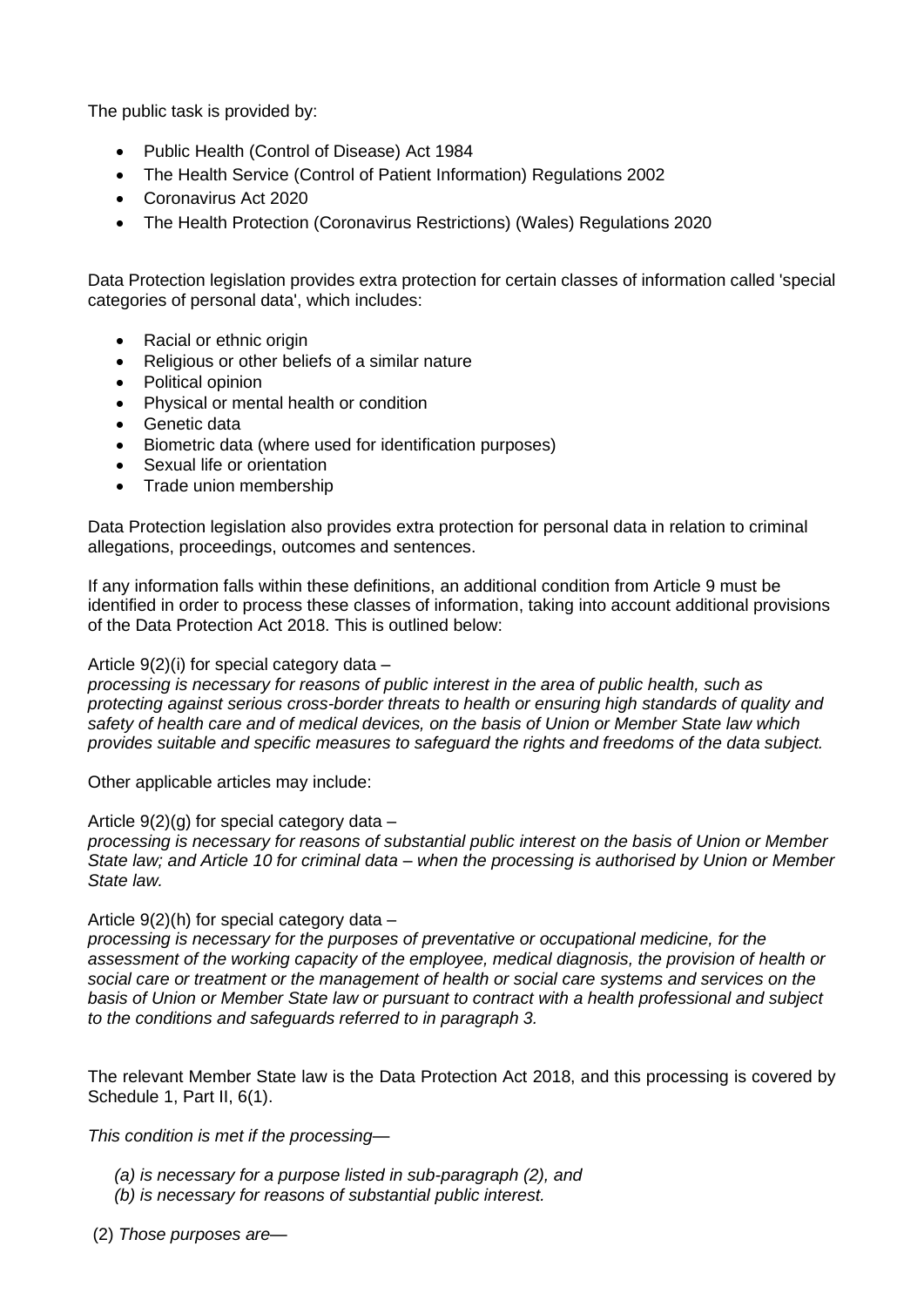The public task is provided by:

- Public Health (Control of Disease) Act 1984
- The Health Service (Control of Patient Information) Regulations 2002
- Coronavirus Act 2020
- The Health Protection (Coronavirus Restrictions) (Wales) Regulations 2020

Data Protection legislation provides extra protection for certain classes of information called 'special categories of personal data', which includes:

- Racial or ethnic origin
- Religious or other beliefs of a similar nature
- Political opinion
- Physical or mental health or condition
- Genetic data
- Biometric data (where used for identification purposes)
- Sexual life or orientation
- Trade union membership

Data Protection legislation also provides extra protection for personal data in relation to criminal allegations, proceedings, outcomes and sentences.

If any information falls within these definitions, an additional condition from Article 9 must be identified in order to process these classes of information, taking into account additional provisions of the Data Protection Act 2018. This is outlined below:

Article 9(2)(i) for special category data –

*processing is necessary for reasons of public interest in the area of public health, such as protecting against serious cross-border threats to health or ensuring high standards of quality and safety of health care and of medical devices, on the basis of Union or Member State law which provides suitable and specific measures to safeguard the rights and freedoms of the data subject.*

Other applicable articles may include:

Article  $9(2)(g)$  for special category data –

*processing is necessary for reasons of substantial public interest on the basis of Union or Member State law; and Article 10 for criminal data – when the processing is authorised by Union or Member State law.* 

### Article 9(2)(h) for special category data –

*processing is necessary for the purposes of preventative or occupational medicine, for the assessment of the working capacity of the employee, medical diagnosis, the provision of health or social care or treatment or the management of health or social care systems and services on the basis of Union or Member State law or pursuant to contract with a health professional and subject to the conditions and safeguards referred to in paragraph 3.*

The relevant Member State law is the Data Protection Act 2018, and this processing is covered by Schedule 1, Part II, 6(1).

*This condition is met if the processing—*

- *(a) is necessary for a purpose listed in sub-paragraph (2), and*
- *(b) is necessary for reasons of substantial public interest.*

(2) *Those purposes are—*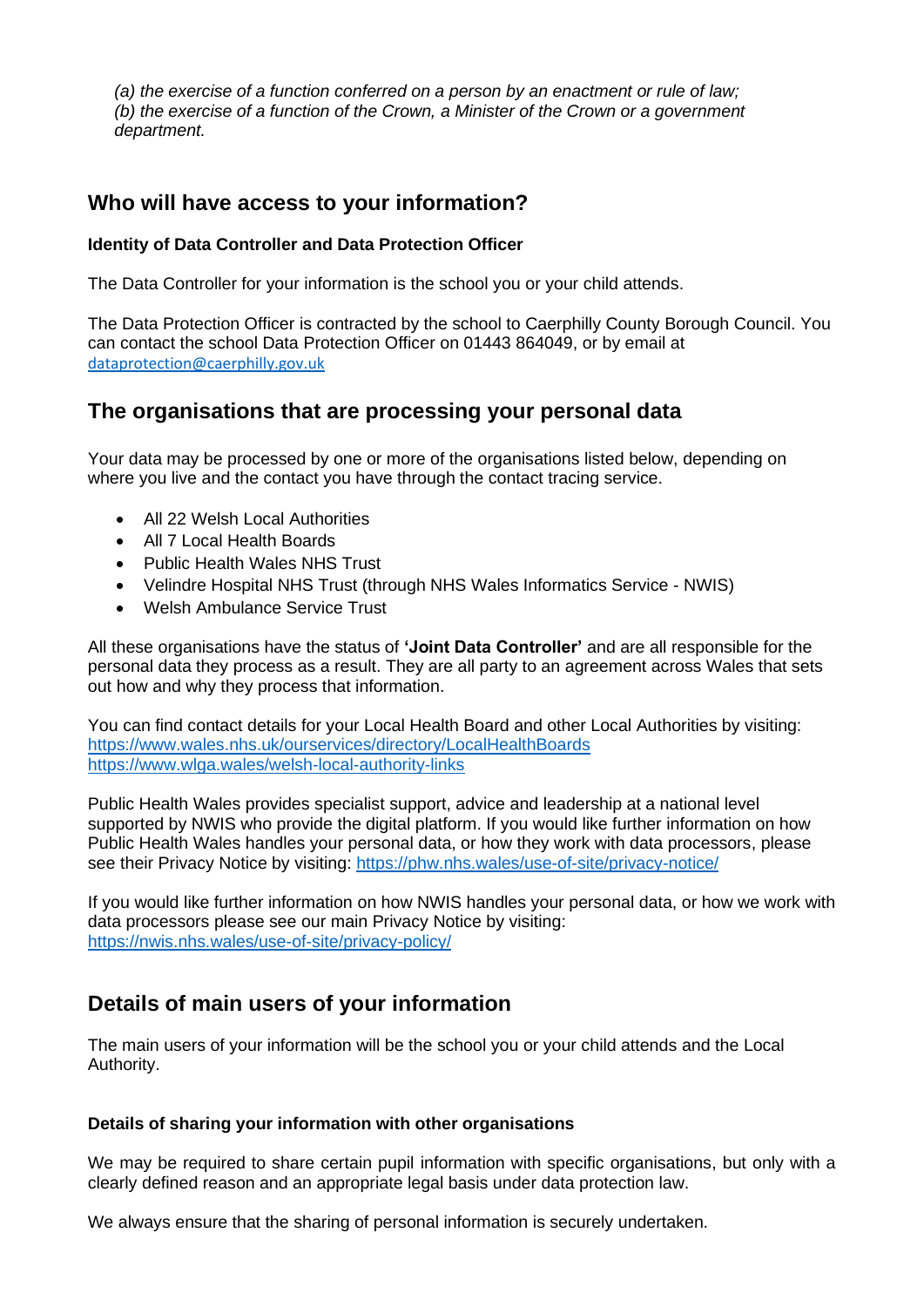*(a) the exercise of a function conferred on a person by an enactment or rule of law; (b) the exercise of a function of the Crown, a Minister of the Crown or a government department.*

## **Who will have access to your information?**

### **Identity of Data Controller and Data Protection Officer**

The Data Controller for your information is the school you or your child attends.

The Data Protection Officer is contracted by the school to Caerphilly County Borough Council. You can contact the school Data Protection Officer on 01443 864049, or by email at [dataprotection@caerphilly.gov.uk](mailto:dataprotection@caerphilly.gov.uk)

## **The organisations that are processing your personal data**

Your data may be processed by one or more of the organisations listed below, depending on where you live and the contact you have through the contact tracing service.

- All 22 Welsh Local Authorities
- All 7 Local Health Boards
- Public Health Wales NHS Trust
- Velindre Hospital NHS Trust (through NHS Wales Informatics Service NWIS)
- Welsh Ambulance Service Trust

All these organisations have the status of **'Joint Data Controller'** and are all responsible for the personal data they process as a result. They are all party to an agreement across Wales that sets out how and why they process that information.

You can find contact details for your Local Health Board and other Local Authorities by visiting: <https://www.wales.nhs.uk/ourservices/directory/LocalHealthBoards> <https://www.wlga.wales/welsh-local-authority-links>

Public Health Wales provides specialist support, advice and leadership at a national level supported by NWIS who provide the digital platform. If you would like further information on how Public Health Wales handles your personal data, or how they work with data processors, please see their Privacy Notice by visiting:<https://phw.nhs.wales/use-of-site/privacy-notice/>

If you would like further information on how NWIS handles your personal data, or how we work with data processors please see our main Privacy Notice by visiting: <https://nwis.nhs.wales/use-of-site/privacy-policy/>

# **Details of main users of your information**

The main users of your information will be the school you or your child attends and the Local Authority.

### **Details of sharing your information with other organisations**

We may be required to share certain pupil information with specific organisations, but only with a clearly defined reason and an appropriate legal basis under data protection law.

We always ensure that the sharing of personal information is securely undertaken.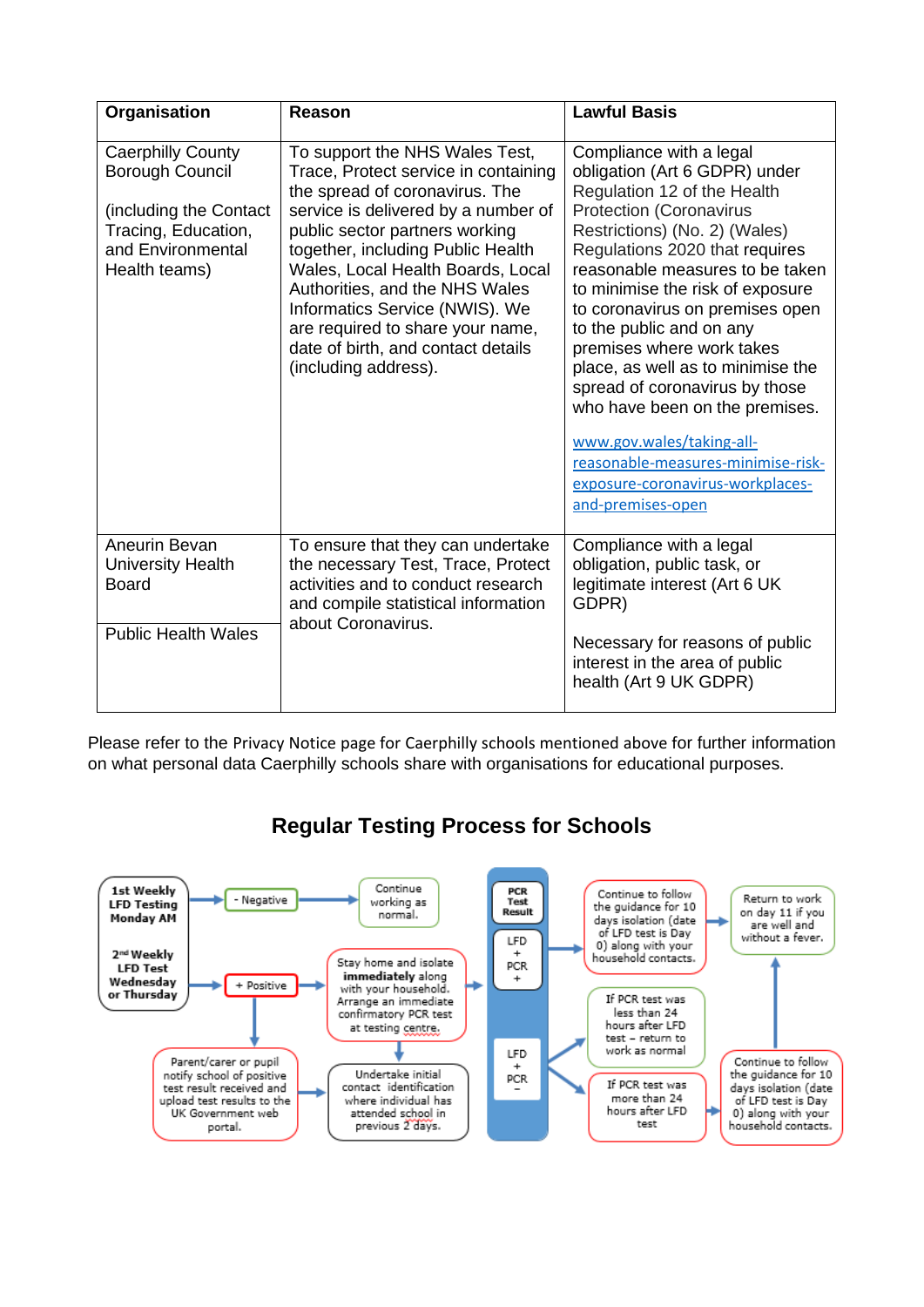| Organisation                                                                                                                              | Reason                                                                                                                                                                                                                                                                                                                                                                                                                            | <b>Lawful Basis</b>                                                                                                                                                                                                                                                                                                                                                                                                                                                                                                                                                                                  |
|-------------------------------------------------------------------------------------------------------------------------------------------|-----------------------------------------------------------------------------------------------------------------------------------------------------------------------------------------------------------------------------------------------------------------------------------------------------------------------------------------------------------------------------------------------------------------------------------|------------------------------------------------------------------------------------------------------------------------------------------------------------------------------------------------------------------------------------------------------------------------------------------------------------------------------------------------------------------------------------------------------------------------------------------------------------------------------------------------------------------------------------------------------------------------------------------------------|
| <b>Caerphilly County</b><br><b>Borough Council</b><br>(including the Contact<br>Tracing, Education,<br>and Environmental<br>Health teams) | To support the NHS Wales Test,<br>Trace, Protect service in containing<br>the spread of coronavirus. The<br>service is delivered by a number of<br>public sector partners working<br>together, including Public Health<br>Wales, Local Health Boards, Local<br>Authorities, and the NHS Wales<br>Informatics Service (NWIS). We<br>are required to share your name,<br>date of birth, and contact details<br>(including address). | Compliance with a legal<br>obligation (Art 6 GDPR) under<br>Regulation 12 of the Health<br><b>Protection (Coronavirus</b><br>Restrictions) (No. 2) (Wales)<br>Regulations 2020 that requires<br>reasonable measures to be taken<br>to minimise the risk of exposure<br>to coronavirus on premises open<br>to the public and on any<br>premises where work takes<br>place, as well as to minimise the<br>spread of coronavirus by those<br>who have been on the premises.<br>www.gov.wales/taking-all-<br>reasonable-measures-minimise-risk-<br>exposure-coronavirus-workplaces-<br>and-premises-open |
| Aneurin Bevan<br><b>University Health</b><br><b>Board</b><br><b>Public Health Wales</b>                                                   | To ensure that they can undertake<br>the necessary Test, Trace, Protect<br>activities and to conduct research<br>and compile statistical information<br>about Coronavirus.                                                                                                                                                                                                                                                        | Compliance with a legal<br>obligation, public task, or<br>legitimate interest (Art 6 UK<br>GDPR)<br>Necessary for reasons of public                                                                                                                                                                                                                                                                                                                                                                                                                                                                  |
|                                                                                                                                           |                                                                                                                                                                                                                                                                                                                                                                                                                                   | interest in the area of public<br>health (Art 9 UK GDPR)                                                                                                                                                                                                                                                                                                                                                                                                                                                                                                                                             |

Please refer to the Privacy Notice page for Caerphilly schools mentioned above for further information on what personal data Caerphilly schools share with organisations for educational purposes.



**Regular Testing Process for Schools**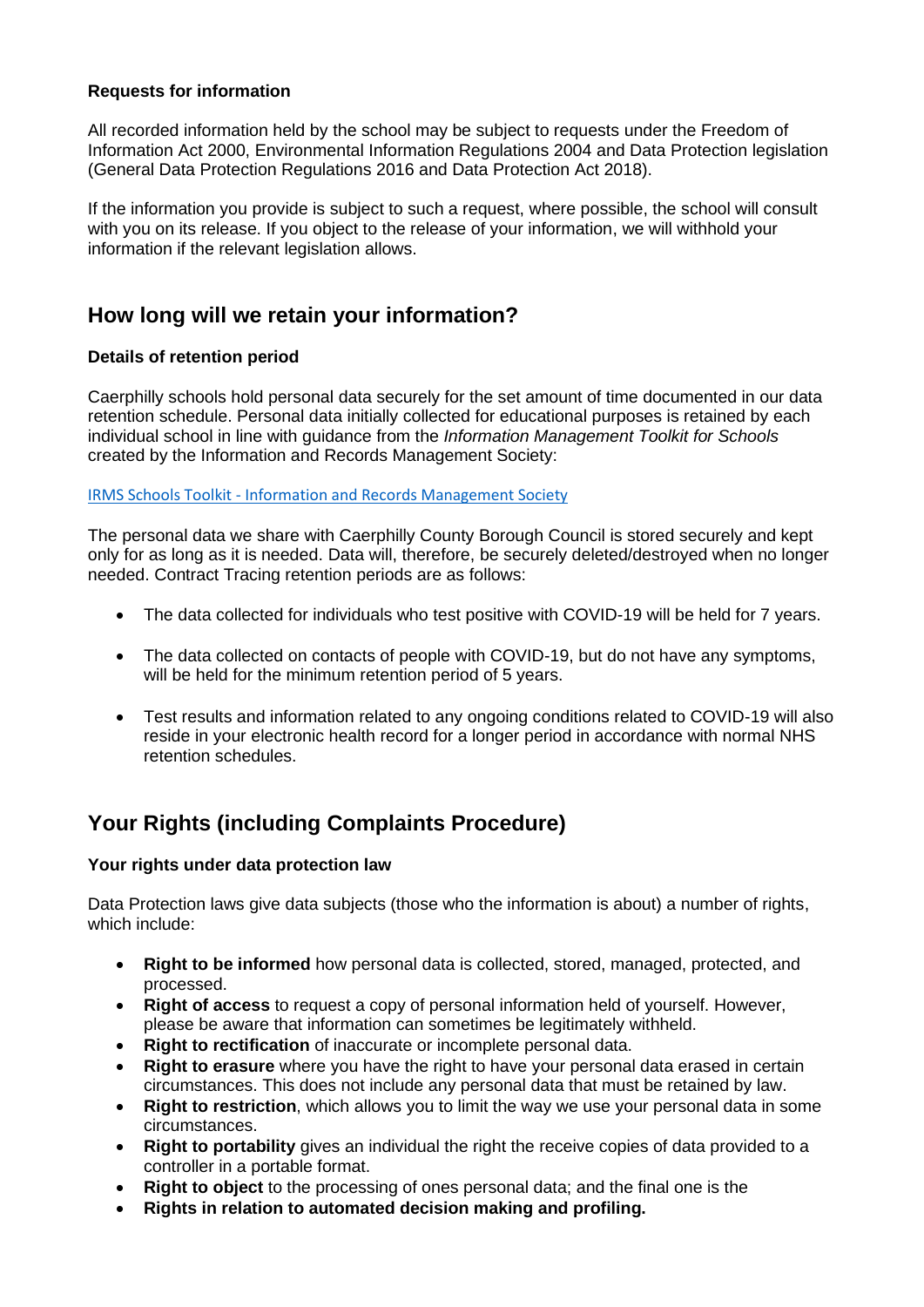### **Requests for information**

All recorded information held by the school may be subject to requests under the Freedom of Information Act 2000, Environmental Information Regulations 2004 and Data Protection legislation (General Data Protection Regulations 2016 and Data Protection Act 2018).

If the information you provide is subject to such a request, where possible, the school will consult with you on its release. If you object to the release of your information, we will withhold your information if the relevant legislation allows.

## **How long will we retain your information?**

### **Details of retention period**

Caerphilly schools hold personal data securely for the set amount of time documented in our data retention schedule. Personal data initially collected for educational purposes is retained by each individual school in line with guidance from the *Information Management Toolkit for Schools* created by the Information and Records Management Society:

IRMS Schools Toolkit - [Information and Records Management Society](https://irms.org.uk/page/SchoolsToolkit)

The personal data we share with Caerphilly County Borough Council is stored securely and kept only for as long as it is needed. Data will, therefore, be securely deleted/destroyed when no longer needed. Contract Tracing retention periods are as follows:

- The data collected for individuals who test positive with COVID-19 will be held for 7 years.
- The data collected on contacts of people with COVID-19, but do not have any symptoms, will be held for the minimum retention period of 5 years.
- Test results and information related to any ongoing conditions related to COVID-19 will also reside in your electronic health record for a longer period in accordance with normal NHS retention schedules.

# **Your Rights (including Complaints Procedure)**

### **Your rights under data protection law**

Data Protection laws give data subjects (those who the information is about) a number of rights, which include:

- **Right to be informed** how personal data is collected, stored, managed, protected, and processed.
- **Right of access** to request a copy of personal information held of yourself. However, please be aware that information can sometimes be legitimately withheld.
- **Right to rectification** of inaccurate or incomplete personal data.
- **Right to erasure** where you have the right to have your personal data erased in certain circumstances. This does not include any personal data that must be retained by law.
- **Right to restriction**, which allows you to limit the way we use your personal data in some circumstances.
- **Right to portability** gives an individual the right the receive copies of data provided to a controller in a portable format.
- **Right to object** to the processing of ones personal data; and the final one is the
- **Rights in relation to automated decision making and profiling.**